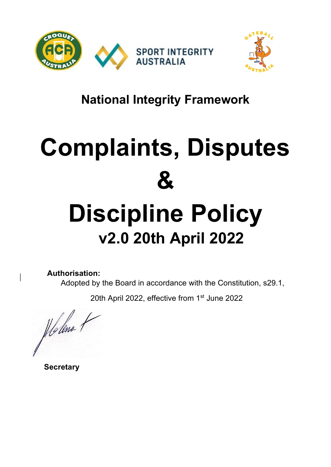



### **National Integrity Framework**

# **Complaints, Disputes & Discipline Policy**

## **v2.0 20th April 2022**

**Authorisation:** 

Adopted by the Board in accordance with the Constitution, s29.1,

20th April 2022, effective from 1<sup>st</sup> June 2022

Holene

 **Secretary**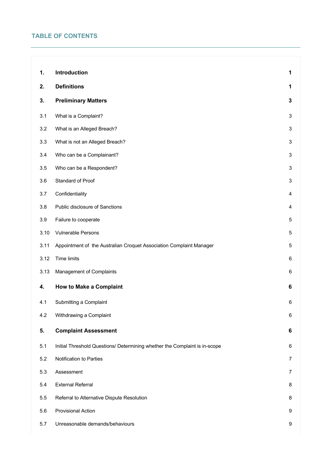#### **TABLE OF CONTENTS**

| 1.   | Introduction                                                               | 1            |
|------|----------------------------------------------------------------------------|--------------|
| 2.   | <b>Definitions</b>                                                         | 1            |
| 3.   | <b>Preliminary Matters</b>                                                 | $\mathbf{3}$ |
| 3.1  | What is a Complaint?                                                       | 3            |
| 3.2  | What is an Alleged Breach?                                                 | 3            |
| 3.3  | What is not an Alleged Breach?                                             | 3            |
| 3.4  | Who can be a Complainant?                                                  | 3            |
| 3.5  | Who can be a Respondent?                                                   | 3            |
| 3.6  | Standard of Proof                                                          | 3            |
| 3.7  | Confidentiality                                                            | 4            |
| 3.8  | Public disclosure of Sanctions                                             | 4            |
| 3.9  | Failure to cooperate                                                       | 5            |
| 3.10 | Vulnerable Persons                                                         | 5            |
| 3.11 | Appointment of the Australian Croquet Association Complaint Manager        | 5            |
| 3.12 | Time limits                                                                | 6            |
| 3.13 | Management of Complaints                                                   | 6            |
| 4.   | <b>How to Make a Complaint</b>                                             | 6            |
| 4.1  | Submitting a Complaint                                                     | 6            |
| 4.2  | Withdrawing a Complaint                                                    | 6            |
| 5.   | <b>Complaint Assessment</b>                                                | 6            |
| 5.1  | Initial Threshold Questions/ Determining whether the Complaint is in-scope | 6            |
| 5.2  | Notification to Parties                                                    | 7            |
| 5.3  | Assessment                                                                 | 7            |
| 5.4  | <b>External Referral</b>                                                   | 8            |
| 5.5  | Referral to Alternative Dispute Resolution                                 | 8            |
| 5.6  | Provisional Action                                                         | 9            |
| 5.7  | Unreasonable demands/behaviours                                            | 9            |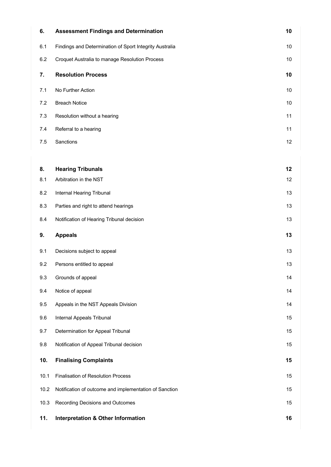| 6.      | <b>Assessment Findings and Determination</b>            | 10   |
|---------|---------------------------------------------------------|------|
| 6.1     | Findings and Determination of Sport Integrity Australia | 10   |
| 6.2     | Croquet Australia to manage Resolution Process          | $10$ |
| 7.      | <b>Resolution Process</b>                               | 10   |
| 7.1     | No Further Action                                       | 10   |
| 7.2     | <b>Breach Notice</b>                                    | 10   |
| 7.3     | Resolution without a hearing                            | 11   |
| 7.4     | Referral to a hearing                                   | 11   |
| $7.5\,$ | Sanctions                                               | 12   |
|         |                                                         |      |
| 8.      | <b>Hearing Tribunals</b>                                | 12   |
| 8.1     | Arbitration in the NST                                  | 12   |
| 8.2     | Internal Hearing Tribunal                               | 13   |
| 8.3     | Parties and right to attend hearings                    | 13   |
| 8.4     | Notification of Hearing Tribunal decision               | 13   |
|         |                                                         |      |
| 9.      | <b>Appeals</b>                                          | 13   |
| 9.1     | Decisions subject to appeal                             | 13   |
| 9.2     | Persons entitled to appeal                              | 13   |
| 9.3     | Grounds of appeal                                       | 14   |
| 9.4     | Notice of appeal                                        | 14   |
| 9.5     | Appeals in the NST Appeals Division                     | 14   |
| 9.6     | Internal Appeals Tribunal                               | 15   |
| 9.7     | Determination for Appeal Tribunal                       | 15   |
| 9.8     | Notification of Appeal Tribunal decision                | 15   |
| 10.     | <b>Finalising Complaints</b>                            | 15   |
| 10.1    | Finalisation of Resolution Process                      | 15   |
| 10.2    | Notification of outcome and implementation of Sanction  | 15   |
| 10.3    | Recording Decisions and Outcomes                        | 15   |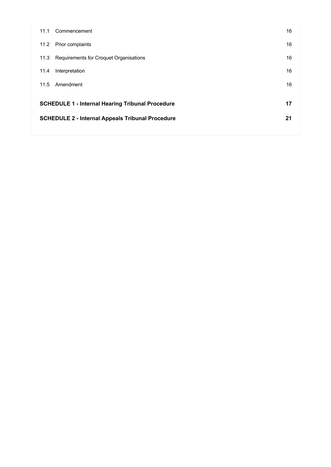| 11.1 | Commencement                                            | 16 |  |
|------|---------------------------------------------------------|----|--|
| 11.2 | Prior complaints                                        | 16 |  |
| 11.3 | Requirements for Croquet Organisations                  | 16 |  |
| 11.4 | Interpretation                                          | 16 |  |
| 11.5 | Amendment                                               | 16 |  |
|      |                                                         | 17 |  |
|      | <b>SCHEDULE 1 - Internal Hearing Tribunal Procedure</b> |    |  |
|      | <b>SCHEDULE 2 - Internal Appeals Tribunal Procedure</b> |    |  |
|      |                                                         |    |  |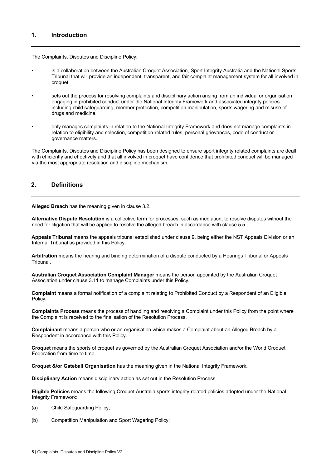#### **1. Introduction**

The Complaints, Disputes and Discipline Policy:

- is a collaboration between the Australian Croquet Association, Sport Integrity Australia and the National Sports Tribunal that will provide an independent, transparent, and fair complaint management system for all involved in croquet
- sets out the process for resolving complaints and disciplinary action arising from an individual or organisation engaging in prohibited conduct under the National Integrity Framework and associated integrity policies including child safeguarding, member protection, competition manipulation, sports wagering and misuse of drugs and medicine.
- only manages complaints in relation to the National Integrity Framework and does not manage complaints in relation to eligibility and selection, competition-related rules, personal grievances, code of conduct or governance matters.

The Complaints, Disputes and Discipline Policy has been designed to ensure sport integrity related complaints are dealt with efficiently and effectively and that all involved in croquet have confidence that prohibited conduct will be managed via the most appropriate resolution and discipline mechanism.

#### **2. Definitions**

**Alleged Breach** has the meaning given in clause 3.2.

**Alternative Dispute Resolution** is a collective term for processes, such as mediation, to resolve disputes without the need for litigation that will be applied to resolve the alleged breach in accordance with clause 5.5.

**Appeals Tribunal** means the appeals tribunal established under clause 9, being either the NST Appeals Division or an Internal Tribunal as provided in this Policy.

**Arbitration** means the hearing and binding determination of a dispute conducted by a Hearings Tribunal or Appeals Tribunal.

**Australian Croquet Association Complaint Manager** means the person appointed by the Australian Croquet Association under clause 3.11 to manage Complaints under this Policy.

**Complaint** means a formal notification of a complaint relating to Prohibited Conduct by a Respondent of an Eligible Policy.

**Complaints Process** means the process of handling and resolving a Complaint under this Policy from the point where the Complaint is received to the finalisation of the Resolution Process.

**Complainant** means a person who or an organisation which makes a Complaint about an Alleged Breach by a Respondent in accordance with this Policy.

**Croquet** means the sports of croquet as governed by the Australian Croquet Association and/or the World Croquet Federation from time to time.

**Croquet &/or Gateball Organisation** has the meaning given in the National Integrity Framework**.** 

**Disciplinary Action** means disciplinary action as set out in the Resolution Process.

**Eligible Policies** means the following Croquet Australia sports integrity-related policies adopted under the National Integrity Framework:

- (a) Child Safeguarding Policy;
- (b) Competition Manipulation and Sport Wagering Policy;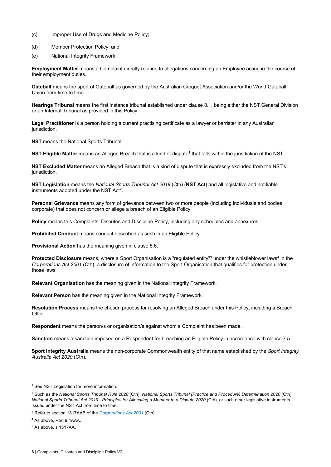- (c) Improper Use of Drugs and Medicine Policy;
- (d) Member Protection Policy; and
- (e) National Integrity Framework.

**Employment Matter** means a Complaint directly relating to allegations concerning an Employee acting in the course of their employment duties.

**Gateball** means the sport of Gateball as governed by the Australian Croquet Association and/or the World Gateball Union from time to time.

**Hearings Tribunal** means the first instance tribunal established under clause 8.1, being either the NST General Division or an Internal Tribunal as provided in this Policy.

**Legal Practitioner** is a person holding a current practising certificate as a lawyer or barrister in any Australian jurisdiction.

**NST** means the National Sports Tribunal.

**NST Eligible Matter** means an Alleged Breach that is a kind of dispute<sup>1</sup> that falls within the jurisdiction of the NST.

**NST Excluded Matter** means an Alleged Breach that is a kind of dispute that is expressly excluded from the NST's jurisdiction.

**NST Legislation** means the *National Sports Tribunal Act 2019* (Cth) (**NST Act**) and all legislative and notifiable instruments adopted under the NST Act2.

**Personal Grievance** means any form of grievance between two or more people (including individuals and bodies corporate) that does not concern or allege a breach of an Eligible Policy.

**Policy** means this Complaints, Disputes and Discipline Policy, including any schedules and annexures.

**Prohibited Conduct** means conduct described as such in an Eligible Policy.

**Provisional Action** has the meaning given in clause 5.6.

**Protected Disclosure** means, where a Sport Organisation is a "regulated entity"<sup>3</sup> under the whistleblower laws<sup>4</sup> in the *Corporations Act 2001* (Cth), a disclosure of information to the Sport Organisation that qualifies for protection under those laws<sup>5</sup>

**Relevant Organisation** has the meaning given in the National Integrity Framework.

**Relevant Person** has the meaning given in the National Integrity Framework.

**Resolution Process** means the chosen process for resolving an Alleged Breach under this Policy, including a Breach  $Offer$ 

**Respondent** means the person/s or organisation/s against whom a Complaint has been made.

**Sanction** means a sanction imposed on a Respondent for breaching an Eligible Policy in accordance with clause 7.5.

**Sport Integrity Australia** means the non-corporate Commonwealth entity of that name established by the *Sport Integrity Australia Act 2020* (Cth).

<sup>&</sup>lt;sup>1</sup> See NST Legislation for more information.

<sup>2</sup> Such as the *National Sports Tribunal Rule 2020* (Cth), *National Sports Tribunal (Practice and Procedure) Determination 2020* (Cth), *National Sports Tribunal Act 2019 - Principles for Allocating a Member to a Dispute 2020* (Cth), or such other legislative instruments issued under the NST Act from time to time.

<sup>3</sup> Refer to section 1317AAB of the *Corporations Act 2001* (Cth).

<sup>4</sup> As above, Part 9.4AAA.

<sup>5</sup> As above, s 1317AA.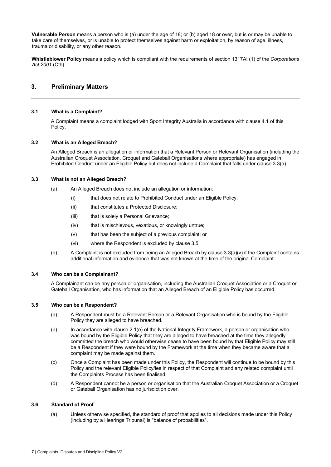**Vulnerable Person** means a person who is (a) under the age of 18; or (b) aged 18 or over, but is or may be unable to take care of themselves, or is unable to protect themselves against harm or exploitation, by reason of age, illness, trauma or disability, or any other reason.

**Whistleblower Policy** means a policy which is compliant with the requirements of section 1317AI (1) of the *Corporations Act 2001* (Cth).

#### **3. Preliminary Matters**

#### **3.1 What is a Complaint?**

A Complaint means a complaint lodged with Sport Integrity Australia in accordance with clause 4.1 of this Policy.

#### **3.2 What is an Alleged Breach?**

An Alleged Breach is an allegation or information that a Relevant Person or Relevant Organisation (including the Australian Croquet Association, Croquet and Gateball Organisations where appropriate) has engaged in Prohibited Conduct under an Eligible Policy but does not include a Complaint that falls under clause 3.3(a).

#### **3.3 What is not an Alleged Breach?**

- (a) An Alleged Breach does not include an allegation or information:
	- (i) that does not relate to Prohibited Conduct under an Eligible Policy;
	- (ii) that constitutes a Protected Disclosure;
	- (iii) that is solely a Personal Grievance;
	- (iv) that is mischievous, vexatious, or knowingly untrue;
	- (v) that has been the subject of a previous complaint; or
	- (vi) where the Respondent is excluded by clause 3.5.
- (b) A Complaint is not excluded from being an Alleged Breach by clause 3.3(a)(v) if the Complaint contains additional information and evidence that was not known at the time of the original Complaint.

#### **3.4 Who can be a Complainant?**

A Complainant can be any person or organisation, including the Australian Croquet Association or a Croquet or Gateball Organisation, who has information that an Alleged Breach of an Eligible Policy has occurred.

#### **3.5 Who can be a Respondent?**

- (a) A Respondent must be a Relevant Person or a Relevant Organisation who is bound by the Eligible Policy they are alleged to have breached.
- (b) In accordance with clause 2.1(e) of the National Integrity Framework, a person or organisation who was bound by the Eligible Policy that they are alleged to have breached at the time they allegedly committed the breach who would otherwise cease to have been bound by that Eligible Policy may still be a Respondent if they were bound by the Framework at the time when they became aware that a complaint may be made against them.
- (c) Once a Complaint has been made under this Policy, the Respondent will continue to be bound by this Policy and the relevant Eligible Policy/ies in respect of that Complaint and any related complaint until the Complaints Process has been finalised.
- (d) A Respondent cannot be a person or organisation that the Australian Croquet Association or a Croquet or Gateball Organisation has no jurisdiction over.

#### **3.6 Standard of Proof**

(a) Unless otherwise specified, the standard of proof that applies to all decisions made under this Policy (including by a Hearings Tribunal) is "balance of probabilities".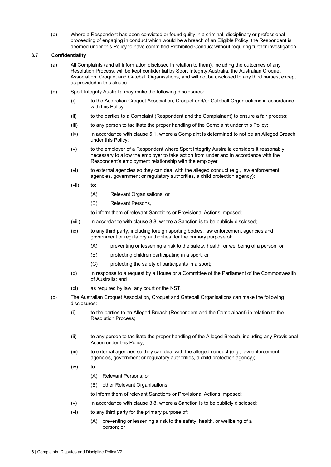(b) Where a Respondent has been convicted or found guilty in a criminal, disciplinary or professional proceeding of engaging in conduct which would be a breach of an Eligible Policy, the Respondent is deemed under this Policy to have committed Prohibited Conduct without requiring further investigation.

#### **3.7 Confidentiality**

- (a) All Complaints (and all information disclosed in relation to them), including the outcomes of any Resolution Process, will be kept confidential by Sport Integrity Australia, the Australian Croquet Association, Croquet and Gateball Organisations, and will not be disclosed to any third parties, except as provided in this clause.
- (b) Sport Integrity Australia may make the following disclosures:
	- (i) to the Australian Croquet Association, Croquet and/or Gateball Organisations in accordance with this Policy;
	- (ii) to the parties to a Complaint (Respondent and the Complainant) to ensure a fair process;
	- (iii) to any person to facilitate the proper handling of the Complaint under this Policy;
	- (iv) in accordance with clause 5.1, where a Complaint is determined to not be an Alleged Breach under this Policy;
	- (v) to the employer of a Respondent where Sport Integrity Australia considers it reasonably necessary to allow the employer to take action from under and in accordance with the Respondent's employment relationship with the employer
	- (vi) to external agencies so they can deal with the alleged conduct (e.g., law enforcement agencies, government or regulatory authorities, a child protection agency);
	- (vii) to:
		- (A) Relevant Organisations; or
		- (B) Relevant Persons,
		- to inform them of relevant Sanctions or Provisional Actions imposed;
	- (viii) in accordance with clause 3.8, where a Sanction is to be publicly disclosed;
	- (ix) to any third party, including foreign sporting bodies, law enforcement agencies and government or regulatory authorities, for the primary purpose of:
		- (A) preventing or lessening a risk to the safety, health, or wellbeing of a person; or
		- (B) protecting children participating in a sport; or
		- (C) protecting the safety of participants in a sport;
	- (x) in response to a request by a House or a Committee of the Parliament of the Commonwealth of Australia; and
	- (xi) as required by law, any court or the NST.
- (c) The Australian Croquet Association, Croquet and Gateball Organisations can make the following disclosures:
	- (i) to the parties to an Alleged Breach (Respondent and the Complainant) in relation to the Resolution Process;
	- (ii) to any person to facilitate the proper handling of the Alleged Breach, including any Provisional Action under this Policy;
	- (iii) to external agencies so they can deal with the alleged conduct (e.g., law enforcement agencies, government or regulatory authorities, a child protection agency);
	- (iv) to:
		- (A) Relevant Persons; or
		- (B) other Relevant Organisations,

to inform them of relevant Sanctions or Provisional Actions imposed;

- (v) in accordance with clause 3.8, where a Sanction is to be publicly disclosed;
- (vi) to any third party for the primary purpose of:
	- (A) preventing or lessening a risk to the safety, health, or wellbeing of a person; or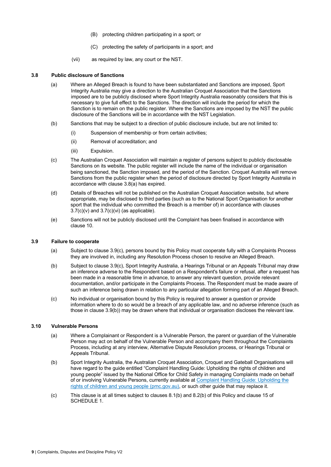- (B) protecting children participating in a sport; or
- (C) protecting the safety of participants in a sport; and
- (vii) as required by law, any court or the NST.

#### **3.8 Public disclosure of Sanctions**

- (a) Where an Alleged Breach is found to have been substantiated and Sanctions are imposed, Sport Integrity Australia may give a direction to the Australian Croquet Association that the Sanctions imposed are to be publicly disclosed where Sport Integrity Australia reasonably considers that this is necessary to give full effect to the Sanctions. The direction will include the period for which the Sanction is to remain on the public register. Where the Sanctions are imposed by the NST the public disclosure of the Sanctions will be in accordance with the NST Legislation.
- (b) Sanctions that may be subject to a direction of public disclosure include, but are not limited to:
	- (i) Suspension of membership or from certain activities;
	- (ii) Removal of accreditation; and
	- (iii) Expulsion.
- (c) The Australian Croquet Association will maintain a register of persons subject to publicly disclosable Sanctions on its website. The public register will include the name of the individual or organisation being sanctioned, the Sanction imposed, and the period of the Sanction. Croquet Australia will remove Sanctions from the public register when the period of disclosure directed by Sport Integrity Australia in accordance with clause 3.8(a) has expired.
- (d) Details of Breaches will not be published on the Australian Croquet Association website, but where appropriate, may be disclosed to third parties (such as to the National Sport Organisation for another sport that the individual who committed the Breach is a member of) in accordance with clauses  $3.7(c)(v)$  and  $3.7(c)(vi)$  (as applicable).
- (e) Sanctions will not be publicly disclosed until the Complaint has been finalised in accordance with clause 10.

#### **3.9 Failure to cooperate**

- (a) Subject to clause 3.9(c), persons bound by this Policy must cooperate fully with a Complaints Process they are involved in, including any Resolution Process chosen to resolve an Alleged Breach.
- (b) Subject to clause 3.9(c), Sport Integrity Australia, a Hearings Tribunal or an Appeals Tribunal may draw an inference adverse to the Respondent based on a Respondent's failure or refusal, after a request has been made in a reasonable time in advance, to answer any relevant question, provide relevant documentation, and/or participate in the Complaints Process. The Respondent must be made aware of such an inference being drawn in relation to any particular allegation forming part of an Alleged Breach.
- (c) No individual or organisation bound by this Policy is required to answer a question or provide information where to do so would be a breach of any applicable law, and no adverse inference (such as those in clause 3.9(b)) may be drawn where that individual or organisation discloses the relevant law.

#### **3.10 Vulnerable Persons**

- (a) Where a Complainant or Respondent is a Vulnerable Person, the parent or guardian of the Vulnerable Person may act on behalf of the Vulnerable Person and accompany them throughout the Complaints Process, including at any interview, Alternative Dispute Resolution process, or Hearings Tribunal or Appeals Tribunal.
- (b) Sport Integrity Australia, the Australian Croquet Association, Croquet and Gateball Organisations will have regard to the guide entitled "Complaint Handling Guide: Upholding the rights of children and young people" issued by the National Office for Child Safety in managing Complaints made on behalf of or involving Vulnerable Persons, currently available at Complaint Handling Guide: Upholding the rights of children and young people (pmc.gov.au), or such other guide that may replace it.
- (c) This clause is at all times subject to clauses 8.1(b) and 8.2(b) of this Policy and clause 15 of SCHEDULE 1.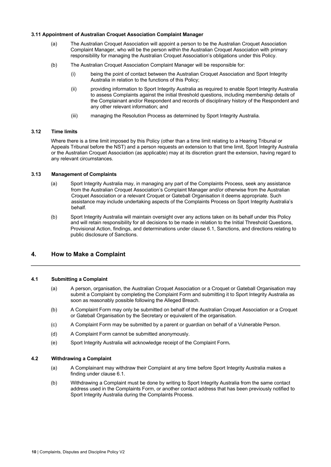#### **3.11 Appointment of Australian Croquet Association Complaint Manager**

- (a) The Australian Croquet Association will appoint a person to be the Australian Croquet Association Complaint Manager, who will be the person within the Australian Croquet Association with primary responsibility for managing the Australian Croquet Association's obligations under this Policy.
- (b) The Australian Croquet Association Complaint Manager will be responsible for:
	- (i) being the point of contact between the Australian Croquet Association and Sport Integrity Australia in relation to the functions of this Policy;
	- (ii) providing information to Sport Integrity Australia as required to enable Sport Integrity Australia to assess Complaints against the initial threshold questions, including membership details of the Complainant and/or Respondent and records of disciplinary history of the Respondent and any other relevant information; and
	- (iii) managing the Resolution Process as determined by Sport Integrity Australia.

#### **3.12 Time limits**

Where there is a time limit imposed by this Policy (other than a time limit relating to a Hearing Tribunal or Appeals Tribunal before the NST) and a person requests an extension to that time limit, Sport Integrity Australia or the Australian Croquet Association (as applicable) may at its discretion grant the extension, having regard to any relevant circumstances.

#### **3.13 Management of Complaints**

- (a) Sport Integrity Australia may, in managing any part of the Complaints Process, seek any assistance from the Australian Croquet Association's Complaint Manager and/or otherwise from the Australian Croquet Association or a relevant Croquet or Gateball Organisation it deems appropriate. Such assistance may include undertaking aspects of the Complaints Process on Sport Integrity Australia's behalf.
- (b) Sport Integrity Australia will maintain oversight over any actions taken on its behalf under this Policy and will retain responsibility for all decisions to be made in relation to the Initial Threshold Questions, Provisional Action, findings, and determinations under clause 6.1, Sanctions, and directions relating to public disclosure of Sanctions.

#### **4. How to Make a Complaint**

#### **4.1 Submitting a Complaint**

- (a) A person, organisation, the Australian Croquet Association or a Croquet or Gateball Organisation may submit a Complaint by completing the Complaint Form and submitting it to Sport Integrity Australia as soon as reasonably possible following the Alleged Breach.
- (b) A Complaint Form may only be submitted on behalf of the Australian Croquet Association or a Croquet or Gateball Organisation by the Secretary or equivalent of the organisation.
- (c) A Complaint Form may be submitted by a parent or guardian on behalf of a Vulnerable Person.
- (d) A Complaint Form cannot be submitted anonymously.
- (e) Sport Integrity Australia will acknowledge receipt of the Complaint Form**.**

#### **4.2 Withdrawing a Complaint**

- (a) A Complainant may withdraw their Complaint at any time before Sport Integrity Australia makes a finding under clause 6.1.
- (b) Withdrawing a Complaint must be done by writing to Sport Integrity Australia from the same contact address used in the Complaints Form, or another contact address that has been previously notified to Sport Integrity Australia during the Complaints Process.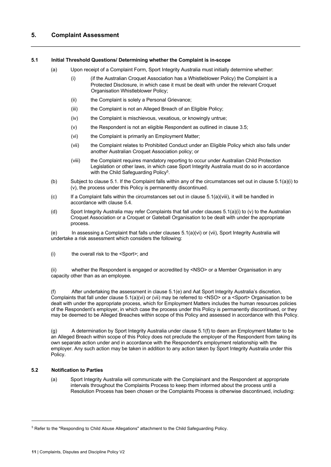#### **5.1 Initial Threshold Questions/ Determining whether the Complaint is in-scope**

- (a) Upon receipt of a Complaint Form, Sport Integrity Australia must initially determine whether:
	- (i) (if the Australian Croquet Association has a Whistleblower Policy) the Complaint is a Protected Disclosure, in which case it must be dealt with under the relevant Croquet Organisation Whistleblower Policy;
	- (ii) the Complaint is solely a Personal Grievance;
	- (iii) the Complaint is not an Alleged Breach of an Eligible Policy;
	- (iv) the Complaint is mischievous, vexatious, or knowingly untrue;
	- (v) the Respondent is not an eligible Respondent as outlined in clause 3.5;
	- (vi) the Complaint is primarily an Employment Matter;
	- (vii) the Complaint relates to Prohibited Conduct under an Eligible Policy which also falls under another Australian Croquet Association policy; or
	- (viii) the Complaint requires mandatory reporting to occur under Australian Child Protection Legislation or other laws, in which case Sport Integrity Australia must do so in accordance with the Child Safeguarding Policy<sup>5</sup>.
- (b) Subject to clause 5.1. If the Complaint falls within any of the circumstances set out in clause 5.1(a)(i) to (v), the process under this Policy is permanently discontinued.
- $(c)$  If a Complaint falls within the circumstances set out in clause  $5.1(a)(viii)$ , it will be handled in accordance with clause 5.4.
- (d) Sport Integrity Australia may refer Complaints that fall under clauses 5.1(a)(i) to (v) to the Australian Croquet Association or a Croquet or Gateball Organisation to be dealt with under the appropriate process.

(e) In assessing a Complaint that falls under clauses 5.1(a)(vi) or (vii), Sport Integrity Australia will undertake a risk assessment which considers the following:

(i) the overall risk to the <Sport>; and

(ii) whether the Respondent is engaged or accredited by <NSO> or a Member Organisation in any capacity other than as an employee.

(f) After undertaking the assessment in clause 5.1(e) and Aat Sport Integrity Australia's discretion, Complaints that fall under clause 5.1(a)(vi) or (vii) may be referred to <NSO> or a <Sport> Organisation to be dealt with under the appropriate process, which for Employment Matters includes the human resources policies of the Respondent's employer, in which case the process under this Policy is permanently discontinued, or they may be deemed to be Alleged Breaches within scope of this Policy and assessed in accordance with this Policy.

(g) A determination by Sport Integrity Australia under clause 5.1(f) to deem an Employment Matter to be an Alleged Breach within scope of this Policy does not preclude the employer of the Respondent from taking its own separate action under and in accordance with the Respondent's employment relationship with the employer. Any such action may be taken in addition to any action taken by Sport Integrity Australia under this Policy.

#### **5.2 Notification to Parties**

(a) Sport Integrity Australia will communicate with the Complainant and the Respondent at appropriate intervals throughout the Complaints Process to keep them informed about the process until a Resolution Process has been chosen or the Complaints Process is otherwise discontinued, including:

<sup>5</sup> Refer to the "Responding to Child Abuse Allegations" attachment to the Child Safeguarding Policy.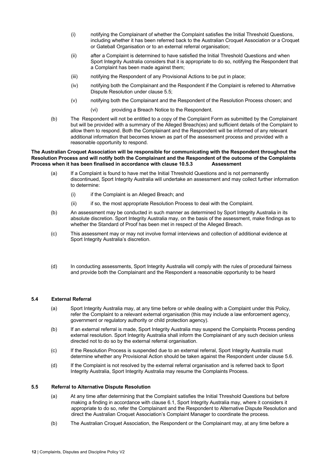- (i) notifying the Complainant of whether the Complaint satisfies the Initial Threshold Questions, including whether it has been referred back to the Australian Croquet Association or a Croquet or Gateball Organisation or to an external referral organisation;
- (ii) after a Complaint is determined to have satisfied the Initial Threshold Questions and when Sport Integrity Australia considers that it is appropriate to do so, notifying the Respondent that a Complaint has been made against them;
- (iii) notifying the Respondent of any Provisional Actions to be put in place;
- (iv) notifying both the Complainant and the Respondent if the Complaint is referred to Alternative Dispute Resolution under clause 5.5;
- (v) notifying both the Complainant and the Respondent of the Resolution Process chosen; and
	- (vi) providing a Breach Notice to the Respondent.
- (b) The Respondent will not be entitled to a copy of the Complaint Form as submitted by the Complainant but will be provided with a summary of the Alleged Breach(es) and sufficient details of the Complaint to allow them to respond. Both the Complainant and the Respondent will be informed of any relevant additional information that becomes known as part of the assessment process and provided with a reasonable opportunity to respond.

#### **The Australian Croquet Association will be responsible for communicating with the Respondent throughout the Resolution Process and will notify both the Complainant and the Respondent of the outcome of the Complaints Process when it has been finalised in accordance with clause 10.5.3 Assessment**

- (a) If a Complaint is found to have met the Initial Threshold Questions and is not permanently discontinued, Sport Integrity Australia will undertake an assessment and may collect further information to determine:
	- (i) if the Complaint is an Alleged Breach; and
	- (ii) if so, the most appropriate Resolution Process to deal with the Complaint.
- (b) An assessment may be conducted in such manner as determined by Sport Integrity Australia in its absolute discretion. Sport Integrity Australia may, on the basis of the assessment, make findings as to whether the Standard of Proof has been met in respect of the Alleged Breach.
- (c) This assessment may or may not involve formal interviews and collection of additional evidence at Sport Integrity Australia's discretion.
- (d) In conducting assessments, Sport Integrity Australia will comply with the rules of procedural fairness and provide both the Complainant and the Respondent a reasonable opportunity to be heard

#### **5.4 External Referral**

- (a) Sport Integrity Australia may, at any time before or while dealing with a Complaint under this Policy, refer the Complaint to a relevant external organisation (this may include a law enforcement agency, government or regulatory authority or child protection agency).
- (b) If an external referral is made, Sport Integrity Australia may suspend the Complaints Process pending external resolution. Sport Integrity Australia shall inform the Complainant of any such decision unless directed not to do so by the external referral organisation.
- (c) If the Resolution Process is suspended due to an external referral, Sport Integrity Australia must determine whether any Provisional Action should be taken against the Respondent under clause 5.6.
- (d) If the Complaint is not resolved by the external referral organisation and is referred back to Sport Integrity Australia, Sport Integrity Australia may resume the Complaints Process.

#### **5.5 Referral to Alternative Dispute Resolution**

- (a) At any time after determining that the Complaint satisfies the Initial Threshold Questions but before making a finding in accordance with clause 6.1, Sport Integrity Australia may, where it considers it appropriate to do so, refer the Complainant and the Respondent to Alternative Dispute Resolution and direct the Australian Croquet Association's Complaint Manager to coordinate the process.
- (b) The Australian Croquet Association, the Respondent or the Complainant may, at any time before a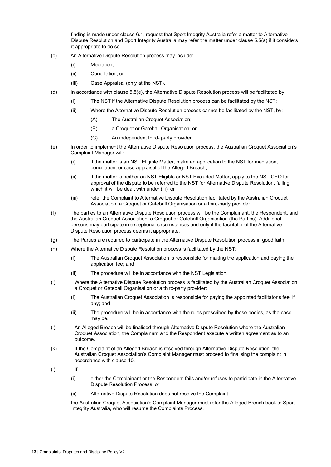finding is made under clause 6.1, request that Sport Integrity Australia refer a matter to Alternative Dispute Resolution and Sport Integrity Australia may refer the matter under clause 5.5(a) if it considers it appropriate to do so.

- (c) An Alternative Dispute Resolution process may include:
	- (i) Mediation;
	- (ii) Conciliation; or
	- (iii) Case Appraisal (only at the NST).
- (d) In accordance with clause 5.5(e), the Alternative Dispute Resolution process will be facilitated by:
	- (i) The NST if the Alternative Dispute Resolution process can be facilitated by the NST;
	- (ii) Where the Alternative Dispute Resolution process cannot be facilitated by the NST, by:
		- (A) The Australian Croquet Association;
		- (B) a Croquet or Gateball Organisation; or
		- (C) An independent third- party provider.
- (e) In order to implement the Alternative Dispute Resolution process, the Australian Croquet Association's Complaint Manager will:
	- (i) if the matter is an NST Eligible Matter, make an application to the NST for mediation, conciliation, or case appraisal of the Alleged Breach;
	- (ii) if the matter is neither an NST Eligible or NST Excluded Matter, apply to the NST CEO for approval of the dispute to be referred to the NST for Alternative Dispute Resolution, failing which it will be dealt with under (iii); or
	- (iii) refer the Complaint to Alternative Dispute Resolution facilitated by the Australian Croquet Association, a Croquet or Gateball Organisation or a third-party provider.
- (f) The parties to an Alternative Dispute Resolution process will be the Complainant, the Respondent, and the Australian Croquet Association, a Croquet or Gateball Organisation (the Parties). Additional persons may participate in exceptional circumstances and only if the facilitator of the Alternative Dispute Resolution process deems it appropriate.
- (g) The Parties are required to participate in the Alternative Dispute Resolution process in good faith.
- (h) Where the Alternative Dispute Resolution process is facilitated by the NST:
	- (i) The Australian Croquet Association is responsible for making the application and paying the application fee; and
	- (ii) The procedure will be in accordance with the NST Legislation.
- (i) Where the Alternative Dispute Resolution process is facilitated by the Australian Croquet Association, a Croquet or Gateball Organisation or a third-party provider:
	- (i) The Australian Croquet Association is responsible for paying the appointed facilitator's fee, if any; and
	- (ii) The procedure will be in accordance with the rules prescribed by those bodies, as the case may be.
- (j) An Alleged Breach will be finalised through Alternative Dispute Resolution where the Australian Croquet Association, the Complainant and the Respondent execute a written agreement as to an outcome.
- (k) If the Complaint of an Alleged Breach is resolved through Alternative Dispute Resolution, the Australian Croquet Association's Complaint Manager must proceed to finalising the complaint in accordance with clause 10.
- (l) If:
	- (i) either the Complainant or the Respondent fails and/or refuses to participate in the Alternative Dispute Resolution Process; or
	- (ii) Alternative Dispute Resolution does not resolve the Complaint,

the Australian Croquet Association's Complaint Manager must refer the Alleged Breach back to Sport Integrity Australia, who will resume the Complaints Process.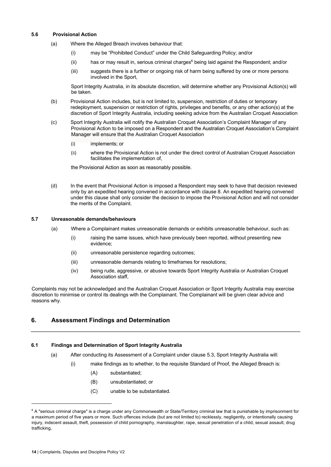#### **5.6 Provisional Action**

- (a) Where the Alleged Breach involves behaviour that:
	- (i) may be "Prohibited Conduct" under the Child Safeguarding Policy; and/or
	- $(i)$  has or may result in, serious criminal charges<sup>6</sup> being laid against the Respondent; and/or
	- (iii) suggests there is a further or ongoing risk of harm being suffered by one or more persons involved in the Sport,

Sport Integrity Australia, in its absolute discretion, will determine whether any Provisional Action(s) will be taken.

- (b) Provisional Action includes, but is not limited to, suspension, restriction of duties or temporary redeployment, suspension or restriction of rights, privileges and benefits, or any other action(s) at the discretion of Sport Integrity Australia, including seeking advice from the Australian Croquet Association
- (c) Sport Integrity Australia will notify the Australian Croquet Association's Complaint Manager of any Provisional Action to be imposed on a Respondent and the Australian Croquet Association's Complaint Manager will ensure that the Australian Croquet Association
	- (i) implements; or
	- (ii) where the Provisional Action is not under the direct control of Australian Croquet Association facilitates the implementation of,

the Provisional Action as soon as reasonably possible.

(d) In the event that Provisional Action is imposed a Respondent may seek to have that decision reviewed only by an expedited hearing convened in accordance with clause 8. An expedited hearing convened under this clause shall only consider the decision to impose the Provisional Action and will not consider the merits of the Complaint.

#### **5.7 Unreasonable demands/behaviours**

- (a) Where a Complainant makes unreasonable demands or exhibits unreasonable behaviour, such as:
	- (i) raising the same issues, which have previously been reported, without presenting new evidence;
	- (ii) unreasonable persistence regarding outcomes;
	- (iii) unreasonable demands relating to timeframes for resolutions;
	- (iv) being rude, aggressive, or abusive towards Sport Integrity Australia or Australian Croquet Association staff,

Complaints may not be acknowledged and the Australian Croquet Association or Sport Integrity Australia may exercise discretion to minimise or control its dealings with the Complainant. The Complainant will be given clear advice and reasons why.

#### **6. Assessment Findings and Determination**

#### **6.1 Findings and Determination of Sport Integrity Australia**

- (a) After conducting its Assessment of a Complaint under clause 5.3, Sport Integrity Australia will:
	- (i) make findings as to whether, to the requisite Standard of Proof, the Alleged Breach is:
		- (A) substantiated;
		- (B) unsubstantiated; or
		- (C) unable to be substantiated.

 $6$  A "serious criminal charge" is a charge under any Commonwealth or State/Territory criminal law that is punishable by imprisonment for a maximum period of five years or more. Such offences include (but are not limited to) recklessly, negligently, or intentionally causing injury, indecent assault, theft, possession of child pornography, manslaughter, rape, sexual penetration of a child, sexual assault, drug trafficking,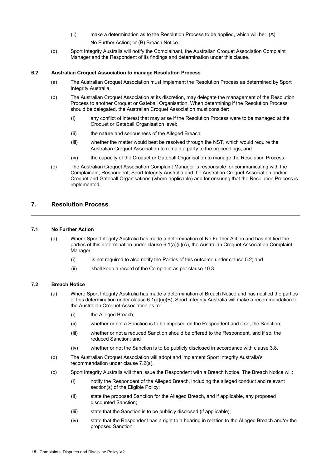- (ii) make a determination as to the Resolution Process to be applied, which will be: (A) No Further Action; or (B) Breach Notice.
- (b) Sport Integrity Australia will notify the Complainant, the Australian Croquet Association Complaint Manager and the Respondent of its findings and determination under this clause.

#### **6.2 Australian Croquet Association to manage Resolution Process**

- (a) The Australian Croquet Association must implement the Resolution Process as determined by Sport Integrity Australia.
- (b) The Australian Croquet Association at its discretion, may delegate the management of the Resolution Process to another Croquet or Gateball Organisation. When determining if the Resolution Process should be delegated, the Australian Croquet Association must consider:
	- (i) any conflict of interest that may arise if the Resolution Process were to be managed at the Croquet or Gateball Organisation level;
	- (ii) the nature and seriousness of the Alleged Breach;
	- (iii) whether the matter would best be resolved through the NST, which would require the Australian Croquet Association to remain a party to the proceedings; and
	- (iv) the capacity of the Croquet or Gateball Organisation to manage the Resolution Process.
- (c) The Australian Croquet Association Complaint Manager is responsible for communicating with the Complainant, Respondent, Sport Integrity Australia and the Australian Croquet Association and/or Croquet and Gateball Organisations (where applicable) and for ensuring that the Resolution Process is implemented.

#### **7. Resolution Process**

#### **7.1 No Further Action**

- (a) Where Sport Integrity Australia has made a determination of No Further Action and has notified the parties of this determination under clause 6.1(a)(ii)(A), the Australian Croquet Association Complaint Manager:
	- $(i)$  is not required to also notify the Parties of this outcome under clause 5.2; and
	- (ii) shall keep a record of the Complaint as per clause 10.3.

#### **7.2 Breach Notice**

- (a) Where Sport Integrity Australia has made a determination of Breach Notice and has notified the parties of this determination under clause 6.1(a)(ii)(B), Sport Integrity Australia will make a recommendation to the Australian Croquet Association as to:
	- (i) the Alleged Breach;
	- (ii) whether or not a Sanction is to be imposed on the Respondent and if so, the Sanction;
	- (iii) whether or not a reduced Sanction should be offered to the Respondent, and if so, the reduced Sanction; and
	- (iv) whether or not the Sanction is to be publicly disclosed in accordance with clause 3.8.
- (b) The Australian Croquet Association will adopt and implement Sport Integrity Australia's recommendation under clause 7.2(a).
- (c) Sport Integrity Australia will then issue the Respondent with a Breach Notice. The Breach Notice will:
	- (i) notify the Respondent of the Alleged Breach, including the alleged conduct and relevant section(s) of the Eligible Policy;
	- (ii) state the proposed Sanction for the Alleged Breach, and if applicable, any proposed discounted Sanction;
	- (iii) state that the Sanction is to be publicly disclosed (if applicable);
	- (iv) state that the Respondent has a right to a hearing in relation to the Alleged Breach and/or the proposed Sanction;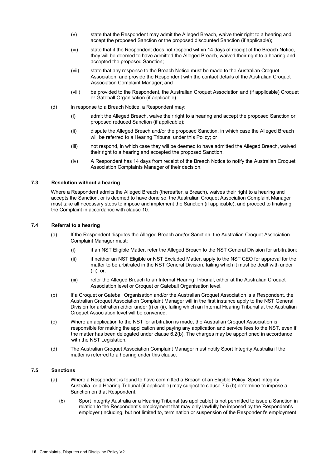- (v) state that the Respondent may admit the Alleged Breach, waive their right to a hearing and accept the proposed Sanction or the proposed discounted Sanction (if applicable);
- (vi) state that if the Respondent does not respond within 14 days of receipt of the Breach Notice, they will be deemed to have admitted the Alleged Breach, waived their right to a hearing and accepted the proposed Sanction;
- (vii) state that any response to the Breach Notice must be made to the Australian Croquet Association, and provide the Respondent with the contact details of the Australian Croquet Association Complaint Manager; and
- (viii) be provided to the Respondent, the Australian Croquet Association and (if applicable) Croquet or Gateball Organisation (if applicable).
- (d) In response to a Breach Notice, a Respondent may:
	- (i) admit the Alleged Breach, waive their right to a hearing and accept the proposed Sanction or proposed reduced Sanction (if applicable);
	- (ii) dispute the Alleged Breach and/or the proposed Sanction, in which case the Alleged Breach will be referred to a Hearing Tribunal under this Policy; or
	- (iii) not respond, in which case they will be deemed to have admitted the Alleged Breach, waived their right to a hearing and accepted the proposed Sanction.
	- (iv) A Respondent has 14 days from receipt of the Breach Notice to notify the Australian Croquet Association Complaints Manager of their decision.

#### **7.3 Resolution without a hearing**

Where a Respondent admits the Alleged Breach (thereafter, a Breach), waives their right to a hearing and accepts the Sanction, or is deemed to have done so, the Australian Croquet Association Complaint Manager must take all necessary steps to impose and implement the Sanction (if applicable), and proceed to finalising the Complaint in accordance with clause 10.

#### **7.4 Referral to a hearing**

- (a) If the Respondent disputes the Alleged Breach and/or Sanction, the Australian Croquet Association Complaint Manager must:
	- (i) if an NST Eligible Matter, refer the Alleged Breach to the NST General Division for arbitration;
	- (ii) if neither an NST Eligible or NST Excluded Matter, apply to the NST CEO for approval for the matter to be arbitrated in the NST General Division, failing which it must be dealt with under (iii); or.
	- (iii) refer the Alleged Breach to an Internal Hearing Tribunal, either at the Australian Croquet Association level or Croquet or Gateball Organisation level.
- (b) If a Croquet or Gateball Organisation and/or the Australian Croquet Association is a Respondent, the Australian Croquet Association Complaint Manager will in the first instance apply to the NST General Division for arbitration either under (i) or (ii), failing which an Internal Hearing Tribunal at the Australian Croquet Association level will be convened.
- (c) Where an application to the NST for arbitration is made, the Australian Croquet Association is responsible for making the application and paying any application and service fees to the NST, even if the matter has been delegated under clause 6.2(b). The charges may be apportioned in accordance with the NST Legislation.
- (d) The Australian Croquet Association Complaint Manager must notify Sport Integrity Australia if the matter is referred to a hearing under this clause.

#### **7.5 Sanctions**

- (a) Where a Respondent is found to have committed a Breach of an Eligible Policy, Sport Integrity Australia, or a Hearing Tribunal (if applicable) may subject to clause 7.5 (b) determine to impose a Sanction on that Respondent.
	- (b) Sport Integrity Australia or a Hearing Tribunal (as applicable) is not permitted to issue a Sanction in relation to the Respondent's employment that may only lawfully be imposed by the Respondent's employer (including, but not limited to, termination or suspension of the Respondent's employment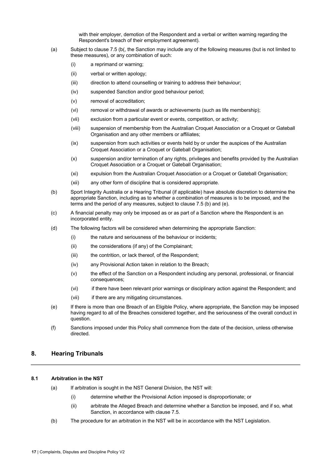with their employer, demotion of the Respondent and a verbal or written warning regarding the Respondent's breach of their employment agreement).

- (a) Subject to clause 7.5 (b(, the Sanction may include any of the following measures (but is not limited to these measures), or any combination of such:
	- (i) a reprimand or warning;
	- (ii) verbal or written apology;
	- (iii) direction to attend counselling or training to address their behaviour;
	- (iv) suspended Sanction and/or good behaviour period;
	- (v) removal of accreditation;
	- (vi) removal or withdrawal of awards or achievements (such as life membership);
	- (vii) exclusion from a particular event or events, competition, or activity;
	- (viii) suspension of membership from the Australian Croquet Association or a Croquet or Gateball Organisation and any other members or affiliates;
	- (ix) suspension from such activities or events held by or under the auspices of the Australian Croquet Association or a Croquet or Gateball Organisation;
	- (x) suspension and/or termination of any rights, privileges and benefits provided by the Australian Croquet Association or a Croquet or Gateball Organisation;
	- (xi) expulsion from the Australian Croquet Association or a Croquet or Gateball Organisation;
	- (xii) any other form of discipline that is considered appropriate.
- (b) Sport Integrity Australia or a Hearing Tribunal (if applicable) have absolute discretion to determine the appropriate Sanction, including as to whether a combination of measures is to be imposed, and the terms and the period of any measures, subject to clause 7.5 (b) and (e).
- (c) A financial penalty may only be imposed as or as part of a Sanction where the Respondent is an incorporated entity.
- (d) The following factors will be considered when determining the appropriate Sanction:
	- (i) the nature and seriousness of the behaviour or incidents;
	- (ii) the considerations (if any) of the Complainant;
	- (iii) the contrition, or lack thereof, of the Respondent;
	- (iv) any Provisional Action taken in relation to the Breach;
	- (v) the effect of the Sanction on a Respondent including any personal, professional, or financial consequences;
	- (vi) if there have been relevant prior warnings or disciplinary action against the Respondent; and
	- (vii) if there are any mitigating circumstances.
- (e) If there is more than one Breach of an Eligible Policy, where appropriate, the Sanction may be imposed having regard to all of the Breaches considered together, and the seriousness of the overall conduct in question.
- (f) Sanctions imposed under this Policy shall commence from the date of the decision, unless otherwise directed.

#### **8. Hearing Tribunals**

#### **8.1 Arbitration in the NST**

- (a) If arbitration is sought in the NST General Division, the NST will:
	- (i) determine whether the Provisional Action imposed is disproportionate; or
	- (ii) arbitrate the Alleged Breach and determine whether a Sanction be imposed, and if so, what Sanction, in accordance with clause 7.5.
- (b) The procedure for an arbitration in the NST will be in accordance with the NST Legislation.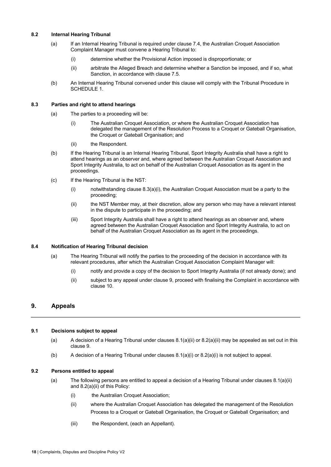#### **8.2 Internal Hearing Tribunal**

- (a) If an Internal Hearing Tribunal is required under clause 7.4, the Australian Croquet Association Complaint Manager must convene a Hearing Tribunal to:
	- (i) determine whether the Provisional Action imposed is disproportionate; or
	- (ii) arbitrate the Alleged Breach and determine whether a Sanction be imposed, and if so, what Sanction, in accordance with clause 7.5.
- (b) An Internal Hearing Tribunal convened under this clause will comply with the Tribunal Procedure in SCHEDULE 1.

#### **8.3 Parties and right to attend hearings**

- (a) The parties to a proceeding will be:
	- (i) The Australian Croquet Association, or where the Australian Croquet Association has delegated the management of the Resolution Process to a Croquet or Gateball Organisation, the Croquet or Gateball Organisation; and
	- (ii) the Respondent.
- (b) If the Hearing Tribunal is an Internal Hearing Tribunal, Sport Integrity Australia shall have a right to attend hearings as an observer and, where agreed between the Australian Croquet Association and Sport Integrity Australia, to act on behalf of the Australian Croquet Association as its agent in the proceedings.
- (c) If the Hearing Tribunal is the NST:
	- (i) notwithstanding clause  $8.3(a)(i)$ , the Australian Croquet Association must be a party to the proceeding;
	- (ii) the NST Member may, at their discretion, allow any person who may have a relevant interest in the dispute to participate in the proceeding; and
	- (iii) Sport Integrity Australia shall have a right to attend hearings as an observer and, where agreed between the Australian Croquet Association and Sport Integrity Australia, to act on behalf of the Australian Croquet Association as its agent in the proceedings.

#### **8.4 Notification of Hearing Tribunal decision**

- (a) The Hearing Tribunal will notify the parties to the proceeding of the decision in accordance with its relevant procedures, after which the Australian Croquet Association Complaint Manager will:
	- (i) notify and provide a copy of the decision to Sport Integrity Australia (if not already done); and
	- (ii) subject to any appeal under clause 9, proceed with finalising the Complaint in accordance with clause 10.

#### **9. Appeals**

#### **9.1 Decisions subject to appeal**

- (a) A decision of a Hearing Tribunal under clauses  $8.1(a)(ii)$  or  $8.2(a)(ii)$  may be appealed as set out in this clause 9.
- (b) A decision of a Hearing Tribunal under clauses  $8.1(a)(i)$  or  $8.2(a)(i)$  is not subject to appeal.

#### **9.2 Persons entitled to appeal**

- (a) The following persons are entitled to appeal a decision of a Hearing Tribunal under clauses 8.1(a)(ii) and 8.2(a)(ii) of this Policy:
	- (i) the Australian Croquet Association;
	- (ii) where the Australian Croquet Association has delegated the management of the Resolution Process to a Croquet or Gateball Organisation, the Croquet or Gateball Organisation; and
	- (iii) the Respondent, (each an Appellant).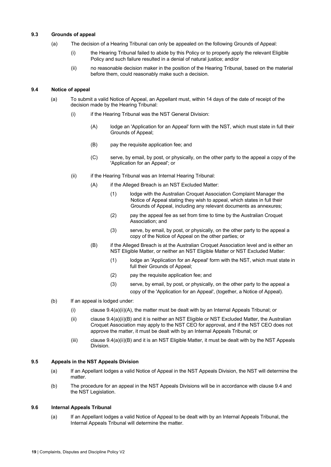#### **9.3 Grounds of appeal**

- (a) The decision of a Hearing Tribunal can only be appealed on the following Grounds of Appeal:
	- (i) the Hearing Tribunal failed to abide by this Policy or to properly apply the relevant Eligible Policy and such failure resulted in a denial of natural justice; and/or
	- (ii) no reasonable decision maker in the position of the Hearing Tribunal, based on the material before them, could reasonably make such a decision.

#### **9.4 Notice of appeal**

- (a) To submit a valid Notice of Appeal, an Appellant must, within 14 days of the date of receipt of the decision made by the Hearing Tribunal:
	- (i) if the Hearing Tribunal was the NST General Division:
		- (A) lodge an 'Application for an Appeal' form with the NST, which must state in full their Grounds of Appeal;
		- (B) pay the requisite application fee; and
		- (C) serve, by email, by post, or physically, on the other party to the appeal a copy of the 'Application for an Appeal'; or
	- (ii) if the Hearing Tribunal was an Internal Hearing Tribunal:
		- (A) if the Alleged Breach is an NST Excluded Matter:
			- (1) lodge with the Australian Croquet Association Complaint Manager the Notice of Appeal stating they wish to appeal, which states in full their Grounds of Appeal, including any relevant documents as annexures;
			- (2) pay the appeal fee as set from time to time by the Australian Croquet Association; and
			- (3) serve, by email, by post, or physically, on the other party to the appeal a copy of the Notice of Appeal on the other parties; or
		- (B) if the Alleged Breach is at the Australian Croquet Association level and is either an NST Eligible Matter, or neither an NST Eligible Matter or NST Excluded Matter:
			- (1) lodge an 'Application for an Appeal' form with the NST, which must state in full their Grounds of Appeal;
			- (2) pay the requisite application fee; and
			- (3) serve, by email, by post, or physically, on the other party to the appeal a copy of the 'Application for an Appeal', (together, a Notice of Appeal).
- (b) If an appeal is lodged under:
	- (i) clause  $9.4(a)(ii)(A)$ , the matter must be dealt with by an Internal Appeals Tribunal; or
	- (ii) clause 9.4(a)(ii)(B) and it is neither an NST Eligible or NST Excluded Matter, the Australian Croquet Association may apply to the NST CEO for approval, and if the NST CEO does not approve the matter, it must be dealt with by an Internal Appeals Tribunal; or
	- (iii) clause 9.4(a)(ii)(B) and it is an NST Eligible Matter, it must be dealt with by the NST Appeals Division.

#### **9.5 Appeals in the NST Appeals Division**

- (a) If an Appellant lodges a valid Notice of Appeal in the NST Appeals Division, the NST will determine the matter.
- (b) The procedure for an appeal in the NST Appeals Divisions will be in accordance with clause 9.4 and the NST Legislation.

#### **9.6 Internal Appeals Tribunal**

(a) If an Appellant lodges a valid Notice of Appeal to be dealt with by an Internal Appeals Tribunal, the Internal Appeals Tribunal will determine the matter.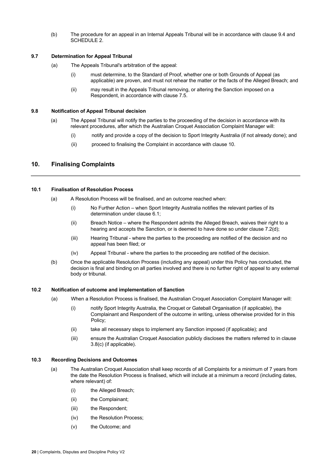(b) The procedure for an appeal in an Internal Appeals Tribunal will be in accordance with clause 9.4 and SCHEDULE 2.

#### **9.7 Determination for Appeal Tribunal**

- (a) The Appeals Tribunal's arbitration of the appeal:
	- (i) must determine, to the Standard of Proof, whether one or both Grounds of Appeal (as applicable) are proven, and must not rehear the matter or the facts of the Alleged Breach; and
	- (ii) may result in the Appeals Tribunal removing, or altering the Sanction imposed on a Respondent, in accordance with clause 7.5.

#### **9.8 Notification of Appeal Tribunal decision**

- (a) The Appeal Tribunal will notify the parties to the proceeding of the decision in accordance with its relevant procedures, after which the Australian Croquet Association Complaint Manager will:
	- (i) notify and provide a copy of the decision to Sport Integrity Australia (if not already done); and
	- (ii) proceed to finalising the Complaint in accordance with clause 10.

#### **10. Finalising Complaints**

#### **10.1 Finalisation of Resolution Process**

- (a) A Resolution Process will be finalised, and an outcome reached when:
	- (i) No Further Action when Sport Integrity Australia notifies the relevant parties of its determination under clause 6.1;
	- (ii) Breach Notice where the Respondent admits the Alleged Breach, waives their right to a hearing and accepts the Sanction, or is deemed to have done so under clause 7.2(d);
	- (iii) Hearing Tribunal where the parties to the proceeding are notified of the decision and no appeal has been filed; or
	- (iv) Appeal Tribunal where the parties to the proceeding are notified of the decision.
- (b) Once the applicable Resolution Process (including any appeal) under this Policy has concluded, the decision is final and binding on all parties involved and there is no further right of appeal to any external body or tribunal.

#### **10.2 Notification of outcome and implementation of Sanction**

- (a) When a Resolution Process is finalised, the Australian Croquet Association Complaint Manager will:
	- (i) notify Sport Integrity Australia, the Croquet or Gateball Organisation (if applicable), the Complainant and Respondent of the outcome in writing, unless otherwise provided for in this Policy;
	- (ii) take all necessary steps to implement any Sanction imposed (if applicable); and
	- (iii) ensure the Australian Croquet Association publicly discloses the matters referred to in clause 3.8(c) (if applicable).

#### **10.3 Recording Decisions and Outcomes**

- (a) The Australian Croquet Association shall keep records of all Complaints for a minimum of 7 years from the date the Resolution Process is finalised, which will include at a minimum a record (including dates, where relevant) of:
	- (i) the Alleged Breach;
	- (ii) the Complainant;
	- (iii) the Respondent;
	- (iv) the Resolution Process;
	- (v) the Outcome; and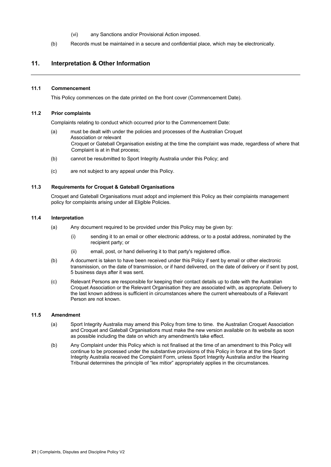- (vi) any Sanctions and/or Provisional Action imposed.
- (b) Records must be maintained in a secure and confidential place, which may be electronically.

#### **11. Interpretation & Other Information**

#### **11.1 Commencement**

This Policy commences on the date printed on the front cover (Commencement Date).

#### **11.2 Prior complaints**

Complaints relating to conduct which occurred prior to the Commencement Date:

- (a) must be dealt with under the policies and processes of the Australian Croquet Association or relevant Croquet or Gateball Organisation existing at the time the complaint was made, regardless of where that Complaint is at in that process;
- (b) cannot be resubmitted to Sport Integrity Australia under this Policy; and
- (c) are not subject to any appeal under this Policy.

#### **11.3 Requirements for Croquet & Gateball Organisations**

Croquet and Gateball Organisations must adopt and implement this Policy as their complaints management policy for complaints arising under all Eligible Policies.

#### **11.4 Interpretation**

- (a) Any document required to be provided under this Policy may be given by:
	- (i) sending it to an email or other electronic address, or to a postal address, nominated by the recipient party; or
	- (ii) email, post, or hand delivering it to that party's registered office.
- (b) A document is taken to have been received under this Policy if sent by email or other electronic transmission, on the date of transmission, or if hand delivered, on the date of delivery or if sent by post, 5 business days after it was sent.
- (c) Relevant Persons are responsible for keeping their contact details up to date with the Australian Croquet Association or the Relevant Organisation they are associated with, as appropriate. Delivery to the last known address is sufficient in circumstances where the current whereabouts of a Relevant Person are not known.

#### **11.5 Amendment**

- (a) Sport Integrity Australia may amend this Policy from time to time. the Australian Croquet Association and Croquet and Gateball Organisations must make the new version available on its website as soon as possible including the date on which any amendment/s take effect.
- (b) Any Complaint under this Policy which is not finalised at the time of an amendment to this Policy will continue to be processed under the substantive provisions of this Policy in force at the time Sport Integrity Australia received the Complaint Form, unless Sport Integrity Australia and/or the Hearing Tribunal determines the principle of "lex mitior" appropriately applies in the circumstances.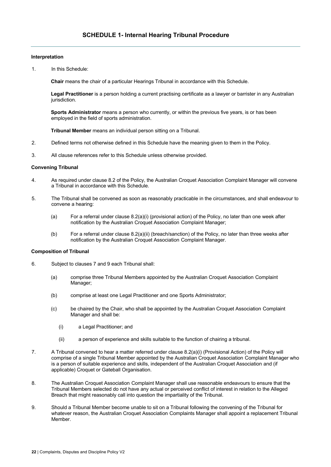#### **Interpretation**

1. In this Schedule:

**Chair** means the chair of a particular Hearings Tribunal in accordance with this Schedule.

**Legal Practitioner** is a person holding a current practising certificate as a lawyer or barrister in any Australian jurisdiction.

**Sports Administrator** means a person who currently, or within the previous five years, is or has been employed in the field of sports administration.

**Tribunal Member** means an individual person sitting on a Tribunal.

- 2. Defined terms not otherwise defined in this Schedule have the meaning given to them in the Policy.
- 3. All clause references refer to this Schedule unless otherwise provided.

#### **Convening Tribunal**

- 4. As required under clause 8.2 of the Policy, the Australian Croquet Association Complaint Manager will convene a Tribunal in accordance with this Schedule.
- 5. The Tribunal shall be convened as soon as reasonably practicable in the circumstances, and shall endeavour to convene a hearing:
	- (a) For a referral under clause 8.2(a)(i) (provisional action) of the Policy, no later than one week after notification by the Australian Croquet Association Complaint Manager;
	- (b) For a referral under clause 8.2(a)(ii) (breach/sanction) of the Policy, no later than three weeks after notification by the Australian Croquet Association Complaint Manager.

#### **Composition of Tribunal**

- 6. Subject to clauses 7 and 9 each Tribunal shall:
	- (a) comprise three Tribunal Members appointed by the Australian Croquet Association Complaint Manager;
	- (b) comprise at least one Legal Practitioner and one Sports Administrator;
	- (c) be chaired by the Chair, who shall be appointed by the Australian Croquet Association Complaint Manager and shall be:
		- (i) a Legal Practitioner; and
		- (ii) a person of experience and skills suitable to the function of chairing a tribunal.
- 7. A Tribunal convened to hear a matter referred under clause 8.2(a)(i) (Provisional Action) of the Policy will comprise of a single Tribunal Member appointed by the Australian Croquet Association Complaint Manager who is a person of suitable experience and skills, independent of the Australian Croquet Association and (if applicable) Croquet or Gateball Organisation.
- 8. The Australian Croquet Association Complaint Manager shall use reasonable endeavours to ensure that the Tribunal Members selected do not have any actual or perceived conflict of interest in relation to the Alleged Breach that might reasonably call into question the impartiality of the Tribunal.
- 9. Should a Tribunal Member become unable to sit on a Tribunal following the convening of the Tribunal for whatever reason, the Australian Croquet Association Complaints Manager shall appoint a replacement Tribunal Member.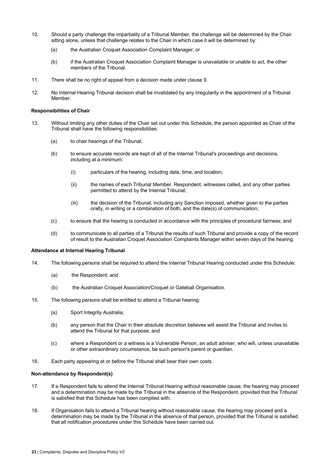- 10. Should a party challenge the impartiality of a Tribunal Member, the challenge will be determined by the Chair sitting alone, unless that challenge relates to the Chair in which case it will be determined by:
	- (a) the Australian Croquet Association Complaint Manager; or
	- (b) if the Australian Croquet Association Complaint Manager is unavailable or unable to act, the other members of the Tribunal.
- 11. There shall be no right of appeal from a decision made under clause 9.
- 12. No Internal Hearing Tribunal decision shall be invalidated by any irregularity in the appointment of a Tribunal Member.

#### **Responsibilities of Chair**

- 13. Without limiting any other duties of the Chair set out under this Schedule, the person appointed as Chair of the Tribunal shall have the following responsibilities:
	- (a) to chair hearings of the Tribunal;
	- (b) to ensure accurate records are kept of all of the Internal Tribunal's proceedings and decisions, including at a minimum:
		- (i) particulars of the hearing, including date, time, and location;
		- (ii) the names of each Tribunal Member, Respondent, witnesses called, and any other parties permitted to attend by the Internal Tribunal;
		- (iii) the decision of the Tribunal, including any Sanction imposed, whether given to the parties orally, in writing or a combination of both, and the date(s) of communication;
	- (c) to ensure that the hearing is conducted in accordance with the principles of procedural fairness; and
	- (d) to communicate to all parties of a Tribunal the results of such Tribunal and provide a copy of the record of result to the Australian Croquet Association Complaints Manager within seven days of the hearing.

#### **Attendance at Internal Hearing Tribunal**

- 14. The following persons shall be required to attend the Internal Tribunal Hearing conducted under this Schedule:
	- (a) the Respondent; and
	- (b) the Australian Croquet Association/Croquet or Gateball Organisation.
- 15. The following persons shall be entitled to attend a Tribunal hearing:
	- (a) Sport Integrity Australia;
	- (b) any person that the Chair in their absolute discretion believes will assist the Tribunal and invites to attend the Tribunal for that purpose; and
	- (c) where a Respondent or a witness is a Vulnerable Person, an adult adviser, who will, unless unavailable or other extraordinary circumstance, be such person's parent or guardian.
- 16. Each party appearing at or before the Tribunal shall bear their own costs.

#### **Non-attendance by Respondent(s)**

- 17. If a Respondent fails to attend the Internal Tribunal Hearing without reasonable cause, the hearing may proceed and a determination may be made by the Tribunal in the absence of the Respondent, provided that the Tribunal is satisfied that this Schedule has been complied with.
- 18. If Organisation fails to attend a Tribunal hearing without reasonable cause, the hearing may proceed and a determination may be made by the Tribunal in the absence of that person, provided that the Tribunal is satisfied that all notification procedures under this Schedule have been carried out.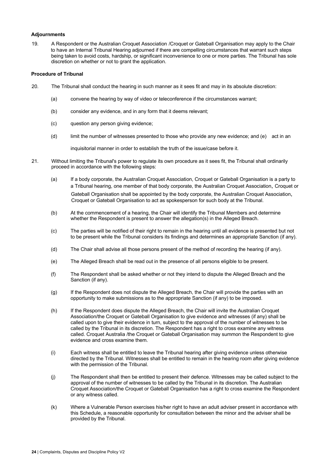#### **Adjournments**

19. A Respondent or the Australian Croquet Association /Croquet or Gateball Organisation may apply to the Chair to have an Internal Tribunal Hearing adjourned if there are compelling circumstances that warrant such steps being taken to avoid costs, hardship, or significant inconvenience to one or more parties. The Tribunal has sole discretion on whether or not to grant the application.

#### **Procedure of Tribunal**

- 20. The Tribunal shall conduct the hearing in such manner as it sees fit and may in its absolute discretion:
	- (a) convene the hearing by way of video or teleconference if the circumstances warrant;
	- (b) consider any evidence, and in any form that it deems relevant;
	- (c) question any person giving evidence;
	- (d) limit the number of witnesses presented to those who provide any new evidence; and (e) act in an

inquisitorial manner in order to establish the truth of the issue/case before it.

- 21. Without limiting the Tribunal's power to regulate its own procedure as it sees fit, the Tribunal shall ordinarily proceed in accordance with the following steps:
	- (a) If a body corporate, the Australian Croquet Association, Croquet or Gateball Organisation is a party to a Tribunal hearing, one member of that body corporate, the Australian Croquet Association, Croquet or Gateball Organisation shall be appointed by the body corporate, the Australian Croquet Association, Croquet or Gateball Organisation to act as spokesperson for such body at the Tribunal.
	- (b) At the commencement of a hearing, the Chair will identify the Tribunal Members and determine whether the Respondent is present to answer the allegation(s) in the Alleged Breach.
	- (c) The parties will be notified of their right to remain in the hearing until all evidence is presented but not to be present while the Tribunal considers its findings and determines an appropriate Sanction (if any).
	- (d) The Chair shall advise all those persons present of the method of recording the hearing (if any).
	- (e) The Alleged Breach shall be read out in the presence of all persons eligible to be present.
	- (f) The Respondent shall be asked whether or not they intend to dispute the Alleged Breach and the Sanction (if any).
	- (g) If the Respondent does not dispute the Alleged Breach, the Chair will provide the parties with an opportunity to make submissions as to the appropriate Sanction (if any) to be imposed.
	- (h) If the Respondent does dispute the Alleged Breach, the Chair will invite the Australian Croquet Association/the Croquet or Gateball Organisation to give evidence and witnesses (if any) shall be called upon to give their evidence in turn, subject to the approval of the number of witnesses to be called by the Tribunal in its discretion. The Respondent has a right to cross examine any witness called. Croquet Australia /the Croquet or Gateball Organisation may summon the Respondent to give evidence and cross examine them.
	- (i) Each witness shall be entitled to leave the Tribunal hearing after giving evidence unless otherwise directed by the Tribunal. Witnesses shall be entitled to remain in the hearing room after giving evidence with the permission of the Tribunal.
	- (j) The Respondent shall then be entitled to present their defence. Witnesses may be called subject to the approval of the number of witnesses to be called by the Tribunal in its discretion. The Australian Croquet Association/the Croquet or Gateball Organisation has a right to cross examine the Respondent or any witness called.
	- (k) Where a Vulnerable Person exercises his/her right to have an adult adviser present in accordance with this Schedule, a reasonable opportunity for consultation between the minor and the adviser shall be provided by the Tribunal.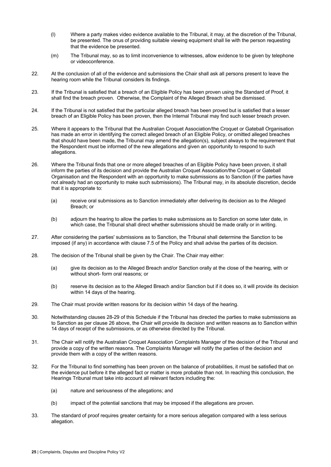- (l) Where a party makes video evidence available to the Tribunal, it may, at the discretion of the Tribunal, be presented. The onus of providing suitable viewing equipment shall lie with the person requesting that the evidence be presented.
- (m) The Tribunal may, so as to limit inconvenience to witnesses, allow evidence to be given by telephone or videoconference.
- 22. At the conclusion of all of the evidence and submissions the Chair shall ask all persons present to leave the hearing room while the Tribunal considers its findings.
- 23. If the Tribunal is satisfied that a breach of an Eligible Policy has been proven using the Standard of Proof, it shall find the breach proven. Otherwise, the Complaint of the Alleged Breach shall be dismissed.
- 24. If the Tribunal is not satisfied that the particular alleged breach has been proved but is satisfied that a lesser breach of an Eligible Policy has been proven, then the Internal Tribunal may find such lesser breach proven.
- 25. Where it appears to the Tribunal that the Australian Croquet Association/the Croquet or Gateball Organisation has made an error in identifying the correct alleged breach of an Eligible Policy, or omitted alleged breaches that should have been made, the Tribunal may amend the allegation(s), subject always to the requirement that the Respondent must be informed of the new allegations and given an opportunity to respond to such allegations.
- 26. Where the Tribunal finds that one or more alleged breaches of an Eligible Policy have been proven, it shall inform the parties of its decision and provide the Australian Croquet Association/the Croquet or Gateball Organisation and the Respondent with an opportunity to make submissions as to Sanction (if the parties have not already had an opportunity to make such submissions). The Tribunal may, in its absolute discretion, decide that it is appropriate to:
	- (a) receive oral submissions as to Sanction immediately after delivering its decision as to the Alleged Breach; or
	- (b) adjourn the hearing to allow the parties to make submissions as to Sanction on some later date, in which case, the Tribunal shall direct whether submissions should be made orally or in writing.
- 27. After considering the parties' submissions as to Sanction, the Tribunal shall determine the Sanction to be imposed (if any) in accordance with clause 7.5 of the Policy and shall advise the parties of its decision.
- 28. The decision of the Tribunal shall be given by the Chair. The Chair may either:
	- (a) give its decision as to the Alleged Breach and/or Sanction orally at the close of the hearing, with or without short- form oral reasons; or
	- (b) reserve its decision as to the Alleged Breach and/or Sanction but if it does so, it will provide its decision within 14 days of the hearing.
- 29. The Chair must provide written reasons for its decision within 14 days of the hearing.
- 30. Notwithstanding clauses 28-29 of this Schedule if the Tribunal has directed the parties to make submissions as to Sanction as per clause 26 above, the Chair will provide its decision and written reasons as to Sanction within 14 days of receipt of the submissions, or as otherwise directed by the Tribunal.
- 31. The Chair will notify the Australian Croquet Association Complaints Manager of the decision of the Tribunal and provide a copy of the written reasons. The Complaints Manager will notify the parties of the decision and provide them with a copy of the written reasons.
- 32. For the Tribunal to find something has been proven on the balance of probabilities, it must be satisfied that on the evidence put before it the alleged fact or matter is more probable than not. In reaching this conclusion, the Hearings Tribunal must take into account all relevant factors including the:
	- (a) nature and seriousness of the allegations; and
	- (b) impact of the potential sanctions that may be imposed if the allegations are proven.
- 33. The standard of proof requires greater certainty for a more serious allegation compared with a less serious allegation.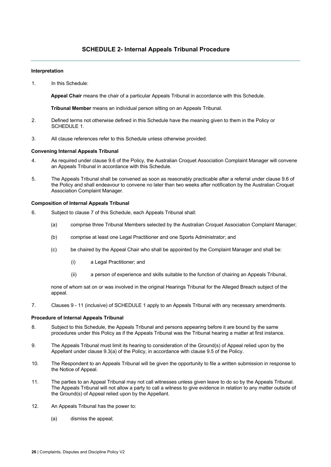#### **Interpretation**

1. In this Schedule:

**Appeal Chair** means the chair of a particular Appeals Tribunal in accordance with this Schedule.

**Tribunal Member** means an individual person sitting on an Appeals Tribunal.

- 2. Defined terms not otherwise defined in this Schedule have the meaning given to them in the Policy or SCHEDULE 1.
- 3. All clause references refer to this Schedule unless otherwise provided.

#### **Convening Internal Appeals Tribunal**

- 4. As required under clause 9.6 of the Policy, the Australian Croquet Association Complaint Manager will convene an Appeals Tribunal in accordance with this Schedule.
- 5. The Appeals Tribunal shall be convened as soon as reasonably practicable after a referral under clause 9.6 of the Policy and shall endeavour to convene no later than two weeks after notification by the Australian Croquet Association Complaint Manager.

#### **Composition of Internal Appeals Tribunal**

- 6. Subject to clause 7 of this Schedule, each Appeals Tribunal shall:
	- (a) comprise three Tribunal Members selected by the Australian Croquet Association Complaint Manager;
	- (b) comprise at least one Legal Practitioner and one Sports Administrator; and
	- (c) be chaired by the Appeal Chair who shall be appointed by the Complaint Manager and shall be:
		- (i) a Legal Practitioner; and
		- (ii) a person of experience and skills suitable to the function of chairing an Appeals Tribunal,

none of whom sat on or was involved in the original Hearings Tribunal for the Alleged Breach subject of the appeal.

7. Clauses 9 - 11 (inclusive) of SCHEDULE 1 apply to an Appeals Tribunal with any necessary amendments.

#### **Procedure of Internal Appeals Tribunal**

- 8. Subject to this Schedule, the Appeals Tribunal and persons appearing before it are bound by the same procedures under this Policy as if the Appeals Tribunal was the Tribunal hearing a matter at first instance.
- 9. The Appeals Tribunal must limit its hearing to consideration of the Ground(s) of Appeal relied upon by the Appellant under clause 9.3(a) of the Policy, in accordance with clause 9.5 of the Policy.
- 10. The Respondent to an Appeals Tribunal will be given the opportunity to file a written submission in response to the Notice of Appeal.
- 11. The parties to an Appeal Tribunal may not call witnesses unless given leave to do so by the Appeals Tribunal. The Appeals Tribunal will not allow a party to call a witness to give evidence in relation to any matter outside of the Ground(s) of Appeal relied upon by the Appellant.
- 12. An Appeals Tribunal has the power to:
	- (a) dismiss the appeal;